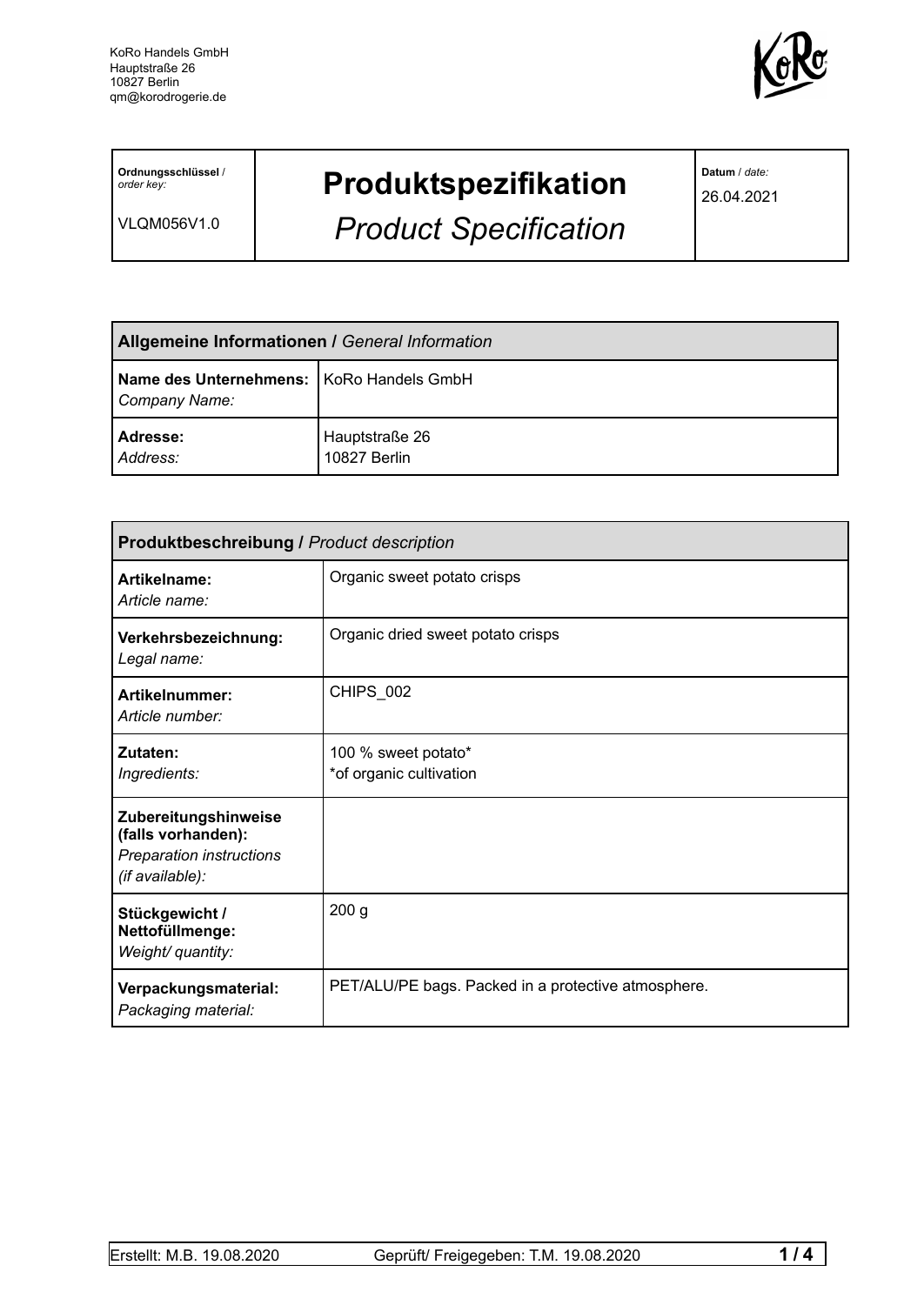

**Ordnungsschlüssel** / *order key:*

VLQM056V1.0

## **Produktspezifikation**

*Product Specification*

**Datum** / *date:*

26.04.2021

| <b>Allgemeine Informationen / General Information</b>       |                                |  |
|-------------------------------------------------------------|--------------------------------|--|
| Name des Unternehmens:   KoRo Handels GmbH<br>Company Name: |                                |  |
| Adresse:<br>Address:                                        | Hauptstraße 26<br>10827 Berlin |  |

| <b>Produktbeschreibung / Product description</b>                                          |                                                     |  |  |
|-------------------------------------------------------------------------------------------|-----------------------------------------------------|--|--|
| Artikelname:<br>Article name:                                                             | Organic sweet potato crisps                         |  |  |
| Verkehrsbezeichnung:<br>Legal name:                                                       | Organic dried sweet potato crisps                   |  |  |
| Artikelnummer:<br>Article number:                                                         | CHIPS 002                                           |  |  |
| Zutaten:<br>Ingredients:                                                                  | 100 % sweet potato*<br>*of organic cultivation      |  |  |
| Zubereitungshinweise<br>(falls vorhanden):<br>Preparation instructions<br>(if available): |                                                     |  |  |
| Stückgewicht /<br>Nettofüllmenge:<br>Weight/ quantity:                                    | 200 <sub>g</sub>                                    |  |  |
| Verpackungsmaterial:<br>Packaging material:                                               | PET/ALU/PE bags. Packed in a protective atmosphere. |  |  |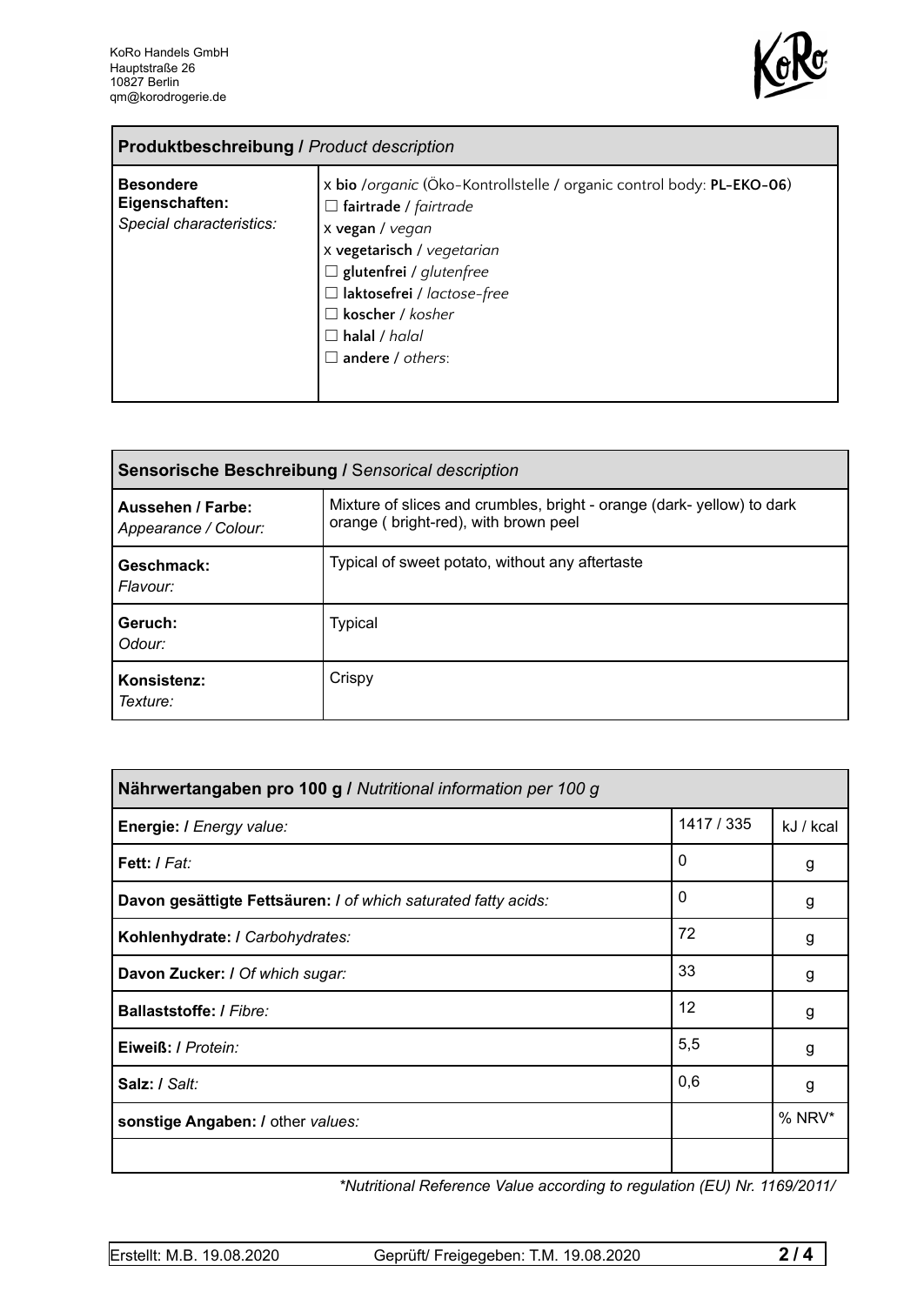

| <b>Produktbeschreibung / Product description</b>               |                                                                                                                                                                                                                                                                                                        |  |
|----------------------------------------------------------------|--------------------------------------------------------------------------------------------------------------------------------------------------------------------------------------------------------------------------------------------------------------------------------------------------------|--|
| <b>Besondere</b><br>Eigenschaften:<br>Special characteristics: | x bio /organic (Öko-Kontrollstelle / organic control body: PL-EKO-06)<br>$\Box$ fairtrade / fairtrade<br>x vegan / vegan<br>x vegetarisch / vegetarian<br>$\Box$ glutenfrei / glutenfree<br>□ laktosefrei / lactose-free<br>$\Box$ koscher / kosher<br>$\Box$ halal / halal<br>$\Box$ andere / others: |  |

| Sensorische Beschreibung / Sensorical description |                                                                                                               |  |
|---------------------------------------------------|---------------------------------------------------------------------------------------------------------------|--|
| Aussehen / Farbe:<br>Appearance / Colour:         | Mixture of slices and crumbles, bright - orange (dark-yellow) to dark<br>orange (bright-red), with brown peel |  |
| Geschmack:<br>Flavour:                            | Typical of sweet potato, without any aftertaste                                                               |  |
| Geruch:<br>Odour:                                 | <b>Typical</b>                                                                                                |  |
| Konsistenz:<br>Texture:                           | Crispy                                                                                                        |  |

| Nährwertangaben pro 100 g / Nutritional information per 100 g  |            |           |
|----------------------------------------------------------------|------------|-----------|
| Energie: I Energy value:                                       | 1417 / 335 | kJ / kcal |
| Fett: I Fat:                                                   | 0          | g         |
| Davon gesättigte Fettsäuren: I of which saturated fatty acids: | 0          | g         |
| Kohlenhydrate: I Carbohydrates:                                | 72         | g         |
| Davon Zucker: I Of which sugar:                                | 33         | g         |
| <b>Ballaststoffe: / Fibre:</b>                                 | 12         | g         |
| Eiweiß: / Protein:                                             | 5,5        | g         |
| Salz: / Salt:                                                  | 0,6        | g         |
| sonstige Angaben: / other values:                              |            | % NRV*    |
|                                                                |            |           |

*\*Nutritional Reference Value according to regulation (EU) Nr. 1169/2011/*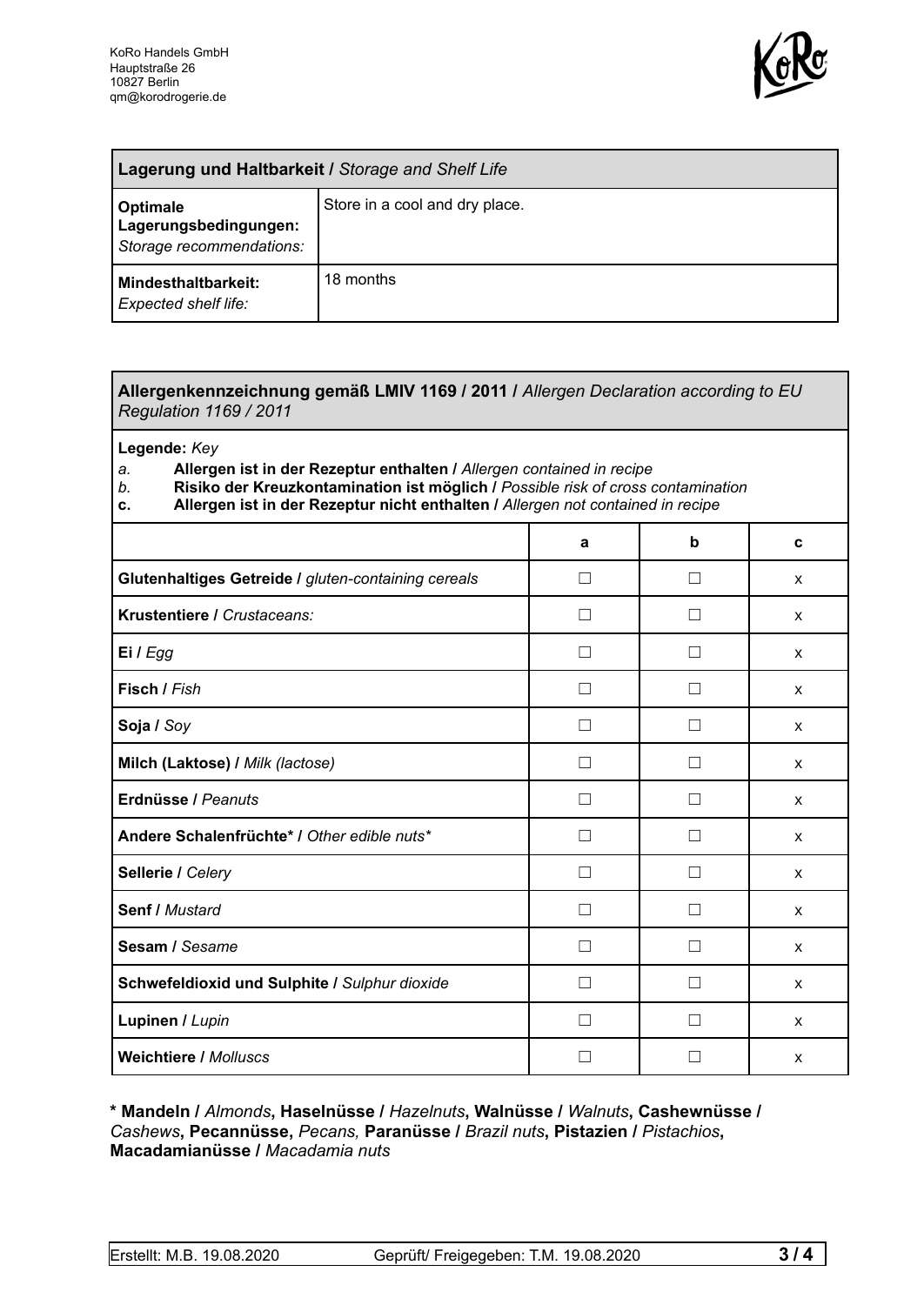

| Lagerung und Haltbarkeit / Storage and Shelf Life             |                                |  |
|---------------------------------------------------------------|--------------------------------|--|
| Optimale<br>Lagerungsbedingungen:<br>Storage recommendations: | Store in a cool and dry place. |  |
| <b>Mindesthaltbarkeit:</b><br>Expected shelf life:            | 18 months                      |  |

## **Allergenkennzeichnung gemäß LMIV 1169 / 2011 /** *Allergen Declaration according to EU Regulation 1169 / 2011*

**Legende:** *Key*

*a.* **Allergen ist in der Rezeptur enthalten /** *Allergen contained in recipe*

- *b.* **Risiko der Kreuzkontamination ist möglich /** *Possible risk of cross contamination*
- **c. Allergen ist in der Rezeptur nicht enthalten /** *Allergen not contained in recipe*

|                                                     | a            | b            | C |
|-----------------------------------------------------|--------------|--------------|---|
| Glutenhaltiges Getreide / gluten-containing cereals | - 1          |              | X |
| Krustentiere / Crustaceans:                         |              |              | X |
| Ei / Egg                                            |              |              | X |
| Fisch / Fish                                        |              |              | X |
| Soja / Soy                                          |              |              | X |
| Milch (Laktose) / Milk (lactose)                    | $\perp$      | $\mathsf{L}$ | X |
| Erdnüsse / Peanuts                                  | $\perp$      | $\Box$       | X |
| Andere Schalenfrüchte* / Other edible nuts*         | П            | П            | X |
| Sellerie / Celery                                   | $\mathsf{L}$ | П            | X |
| Senf / Mustard                                      | П            | $\Box$       | X |
| Sesam / Sesame                                      |              |              | X |
| Schwefeldioxid und Sulphite / Sulphur dioxide       |              |              | X |
| Lupinen / Lupin                                     |              |              | X |
| <b>Weichtiere / Molluscs</b>                        |              |              | X |

**\* Mandeln /** *Almonds***, Haselnüsse /** *Hazelnuts***, Walnüsse /** *Walnuts***, Cashewnüsse /** *Cashews***, Pecannüsse,** *Pecans,* **Paranüsse /** *Brazil nuts***, Pistazien /** *Pistachios***, Macadamianüsse /** *Macadamia nuts*